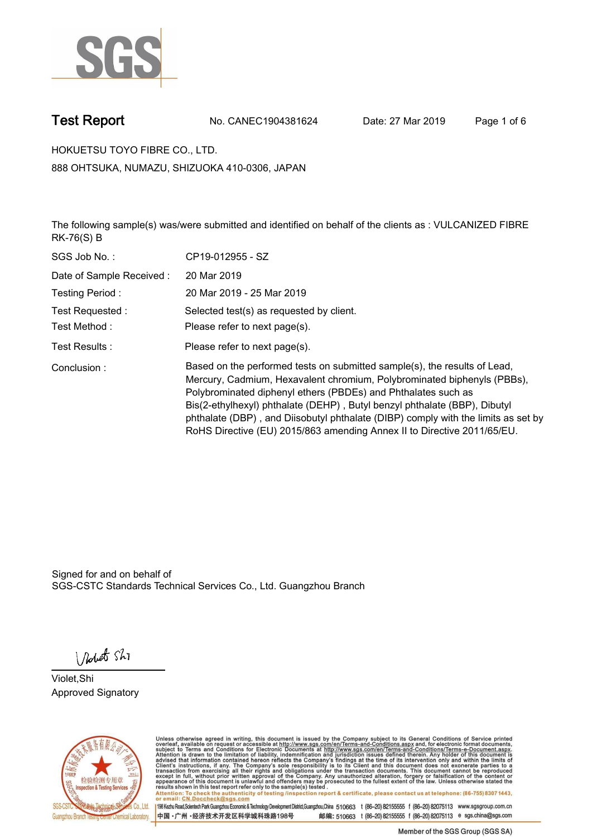

**Test Report. No. CANEC1904381624 Date: 27 Mar 2019. Page 1 of 6.**

**HOKUETSU TOYO FIBRE CO., LTD.. 888 OHTSUKA, NUMAZU, SHIZUOKA 410-0306, JAPAN**

**The following sample(s) was/were submitted and identified on behalf of the clients as : VULCANIZED FIBRE RK-76(S) B.**

| SGS Job No.:              | CP19-012955 - SZ                                                                                                                                                                                                                                                                                                                                                                                                                                                   |
|---------------------------|--------------------------------------------------------------------------------------------------------------------------------------------------------------------------------------------------------------------------------------------------------------------------------------------------------------------------------------------------------------------------------------------------------------------------------------------------------------------|
| Date of Sample Received : | 20 Mar 2019                                                                                                                                                                                                                                                                                                                                                                                                                                                        |
| Testing Period:           | 20 Mar 2019 - 25 Mar 2019                                                                                                                                                                                                                                                                                                                                                                                                                                          |
| Test Requested:           | Selected test(s) as requested by client.                                                                                                                                                                                                                                                                                                                                                                                                                           |
| Test Method :             | Please refer to next page(s).                                                                                                                                                                                                                                                                                                                                                                                                                                      |
| Test Results :            | Please refer to next page(s).                                                                                                                                                                                                                                                                                                                                                                                                                                      |
| Conclusion:               | Based on the performed tests on submitted sample(s), the results of Lead,<br>Mercury, Cadmium, Hexavalent chromium, Polybrominated biphenyls (PBBs),<br>Polybrominated diphenyl ethers (PBDEs) and Phthalates such as<br>Bis(2-ethylhexyl) phthalate (DEHP), Butyl benzyl phthalate (BBP), Dibutyl<br>phthalate (DBP), and Diisobutyl phthalate (DIBP) comply with the limits as set by<br>RoHS Directive (EU) 2015/863 amending Annex II to Directive 2011/65/EU. |

Signed for and on behalf of SGS-CSTC Standards Technical Services Co., Ltd. Guangzhou Branch.

Nobet Shi

**Violet,Shi. Approved Signatory.**



Unless otherwise agreed in writing, this document is issued by the Company subject to its General Conditions of Service printed<br>overleaf, available on request or accessible at http://www.sgs.com/en/Terms-and-Conditions.asp Attention: To check the authenticity of testing /inspection report & certificate, please contact us at telephone: (86-755) 8307 1443,<br>Attention: To check the authenticity of testing /inspection report & certificate, please

198 Kezhu Road,Scientech Park Guangzhou Economic & Technology Development District,Guangzhou,China 510663 t (86-20) 82155555 f (86-20) 82075113 www.sgsgroup.com.cn 邮编: 510663 t (86-20) 82155555 f (86-20) 82075113 e sgs.china@sgs.com 中国·广州·经济技术开发区科学城科珠路198号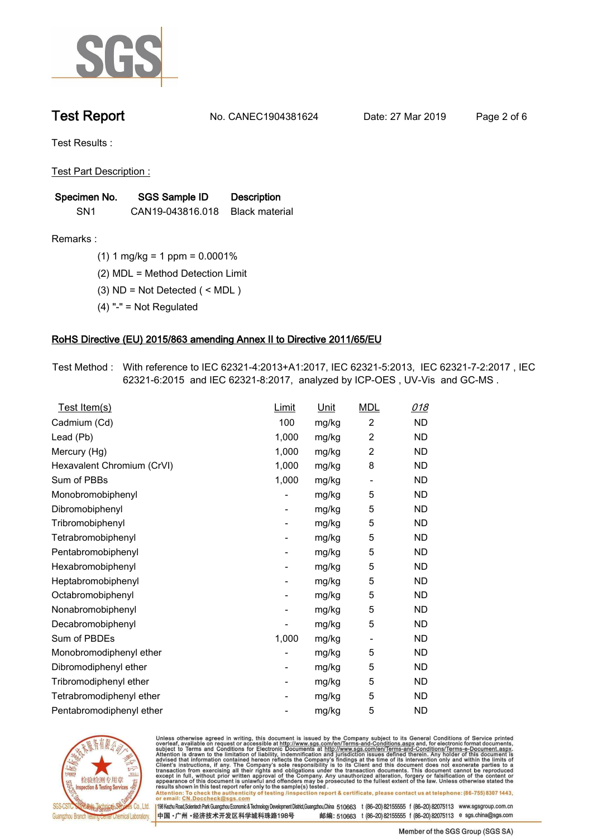

**Test Report. No. CANEC1904381624 Date: 27 Mar 2019. Page 2 of 6.**

**Test Results :.**

**Test Part Description :.**

| Specimen No.    | <b>SGS Sample ID</b> | <b>Description</b> |  |
|-----------------|----------------------|--------------------|--|
| SN <sub>1</sub> | CAN19-043816.018     | Black material     |  |

**Remarks :.(1) 1 mg/kg = 1 ppm = 0.0001%.**

**(2) MDL = Method Detection Limit.**

**(3) ND = Not Detected ( < MDL ).**

**(4) "-" = Not Regulated.**

### **RoHS Directive (EU) 2015/863 amending Annex II to Directive 2011/65/EU.**

**Test Method :. With reference to IEC 62321-4:2013+A1:2017, IEC 62321-5:2013, IEC 62321-7-2:2017 , IEC 62321-6:2015 and IEC 62321-8:2017, analyzed by ICP-OES , UV-Vis and GC-MS ..**

| Test Item(s)               | <u>Limit</u>             | <u>Unit</u> | <b>MDL</b>               | 018       |
|----------------------------|--------------------------|-------------|--------------------------|-----------|
| Cadmium (Cd)               | 100                      | mg/kg       | $\overline{2}$           | <b>ND</b> |
| Lead (Pb)                  | 1,000                    | mg/kg       | $\overline{c}$           | <b>ND</b> |
| Mercury (Hg)               | 1,000                    | mg/kg       | 2                        | <b>ND</b> |
| Hexavalent Chromium (CrVI) | 1,000                    | mg/kg       | 8                        | <b>ND</b> |
| Sum of PBBs                | 1,000                    | mg/kg       | $\overline{\phantom{a}}$ | <b>ND</b> |
| Monobromobiphenyl          |                          | mg/kg       | 5                        | <b>ND</b> |
| Dibromobiphenyl            | $\overline{\phantom{a}}$ | mg/kg       | 5                        | <b>ND</b> |
| Tribromobiphenyl           | ۰                        | mg/kg       | 5                        | <b>ND</b> |
| Tetrabromobiphenyl         |                          | mg/kg       | 5                        | <b>ND</b> |
| Pentabromobiphenyl         | $\overline{\phantom{a}}$ | mg/kg       | 5                        | <b>ND</b> |
| Hexabromobiphenyl          |                          | mg/kg       | 5                        | ND        |
| Heptabromobiphenyl         | $\overline{\phantom{a}}$ | mg/kg       | 5                        | <b>ND</b> |
| Octabromobiphenyl          | $\overline{\phantom{a}}$ | mg/kg       | 5                        | <b>ND</b> |
| Nonabromobiphenyl          |                          | mg/kg       | 5                        | <b>ND</b> |
| Decabromobiphenyl          |                          | mg/kg       | 5                        | <b>ND</b> |
| Sum of PBDEs               | 1,000                    | mg/kg       | $\overline{\phantom{a}}$ | <b>ND</b> |
| Monobromodiphenyl ether    |                          | mg/kg       | 5                        | <b>ND</b> |
| Dibromodiphenyl ether      | ۰                        | mg/kg       | 5                        | <b>ND</b> |
| Tribromodiphenyl ether     | -                        | mg/kg       | 5                        | <b>ND</b> |
| Tetrabromodiphenyl ether   |                          | mg/kg       | 5                        | <b>ND</b> |
| Pentabromodiphenyl ether   |                          | mg/kg       | 5                        | <b>ND</b> |
|                            |                          |             |                          |           |



Unless otherwise agreed in writing, this document is issued by the Company subject to its General Conditions of Service printed<br>overleaf, available on request or accessible at http://www.sgs.com/en/Terms-and-Conditions.asp Attention: To check the authenticity of testing /inspection report & certificate, please contact us at telephone: (86-755) 8307 1443,<br>Attention: To check the authenticity of testing /inspection report & certificate, please

198 Kezhu Road,Scientech Park Guangzhou Economic & Technology Development District,Guangzhou,China 510663 t (86-20) 82155555 f (86-20) 82075113 www.sgsgroup.com.cn 邮编: 510663 t (86-20) 82155555 f (86-20) 82075113 e sgs.china@sgs.com 中国·广州·经济技术开发区科学城科珠路198号

Member of the SGS Group (SGS SA)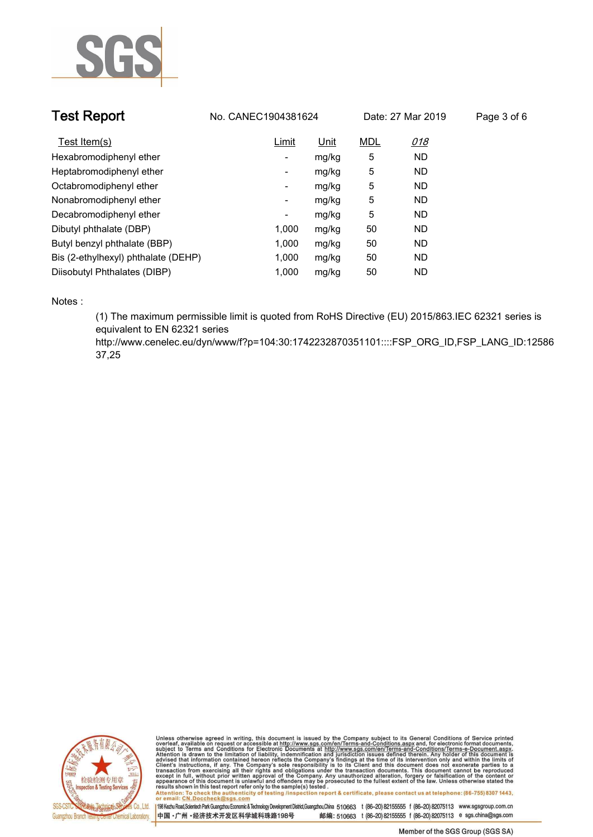

| <b>Test Report</b>                  | No. CANEC1904381624 | Date: 27 Mar 2019 |            | Page 3 of 6 |  |
|-------------------------------------|---------------------|-------------------|------------|-------------|--|
| Test Item(s)                        | Limit               | Unit              | <b>MDL</b> | 018         |  |
| Hexabromodiphenyl ether             | -                   | mg/kg             | 5          | <b>ND</b>   |  |
| Heptabromodiphenyl ether            | -                   | mg/kg             | 5          | <b>ND</b>   |  |
| Octabromodiphenyl ether             | ۰                   | mg/kg             | 5          | <b>ND</b>   |  |
| Nonabromodiphenyl ether             | Ξ.                  | mg/kg             | 5          | <b>ND</b>   |  |
| Decabromodiphenyl ether             | ٠                   | mg/kg             | 5          | <b>ND</b>   |  |
| Dibutyl phthalate (DBP)             | 1.000               | mg/kg             | 50         | <b>ND</b>   |  |
| Butyl benzyl phthalate (BBP)        | 1,000               | mg/kg             | 50         | <b>ND</b>   |  |
| Bis (2-ethylhexyl) phthalate (DEHP) | 1.000               | mg/kg             | 50         | <b>ND</b>   |  |
| Diisobutyl Phthalates (DIBP)        | 1.000               | mg/kg             | 50         | <b>ND</b>   |  |

**Notes :.**

**(1) The maximum permissible limit is quoted from RoHS Directive (EU) 2015/863.IEC 62321 series is equivalent to EN 62321 series** 

**http://www.cenelec.eu/dyn/www/f?p=104:30:1742232870351101::::FSP\_ORG\_ID,FSP\_LANG\_ID:12586 37,25.**



Unless otherwise agreed in writing, this document is issued by the Company subject to its General Conditions of Service printed<br>overleaf, available on request or accessible at http://www.sgs.com/en/Terms-and-Conditions.asp Attention: To check the authenticity of testing /inspection report & certificate, please contact us at telephone: (86-755) 8307 1443,<br>Attention: To check the authenticity of testing /inspection report & certificate, please

198 Kezhu Road,Scientech Park Guangzhou Economic & Technology Development District,Guangzhou,China 510663 t (86-20) 82155555 f (86-20) 82075113 www.sgsgroup.com.cn 中国·广州·经济技术开发区科学城科珠路198号 邮编: 510663 t (86-20) 82155555 f (86-20) 82075113 e sgs.china@sgs.com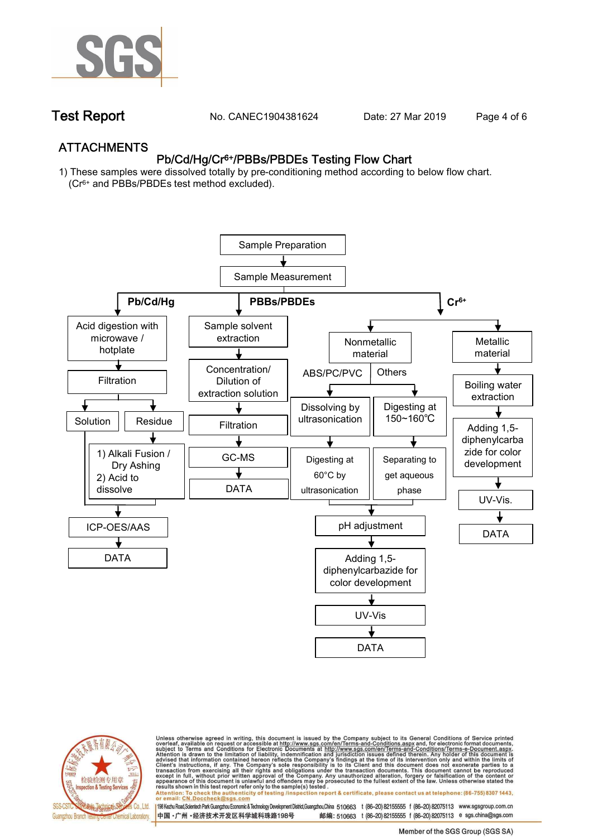

**Test Report. No. CANEC1904381624 Date: 27 Mar 2019. Page 4 of 6.**

## **ATTACHMENTS Pb/Cd/Hg/Cr6+/PBBs/PBDEs Testing Flow Chart**

**1) These samples were dissolved totally by pre-conditioning method according to below flow chart. (Cr6+ and PBBs/PBDEs test method excluded).**





Unless otherwise agreed in writing, this document is issued by the Company subject to its General Conditions of Service printed<br>overleaf, available on request or accessible at http://www.sgs.com/en/Terms-and-Conditions.asp résults shown in this test report refer only to the sample(s) tésted .<br>Attention: To check the authenticity of testing /inspection report & certificate, please contact us at telephone: (86-755) 8307 1443,<br>or email: <u>CN.Doc</u>

198 Kezhu Road,Scientech Park Guangzhou Economic & Technology Development District,Guangzhou,China 510663 t (86-20) 82155555 f (86-20) 82075113 www.sgsgroup.com.cn 邮编: 510663 t (86-20) 82155555 f (86-20) 82075113 e sgs.china@sgs.com 中国·广州·经济技术开发区科学城科珠路198号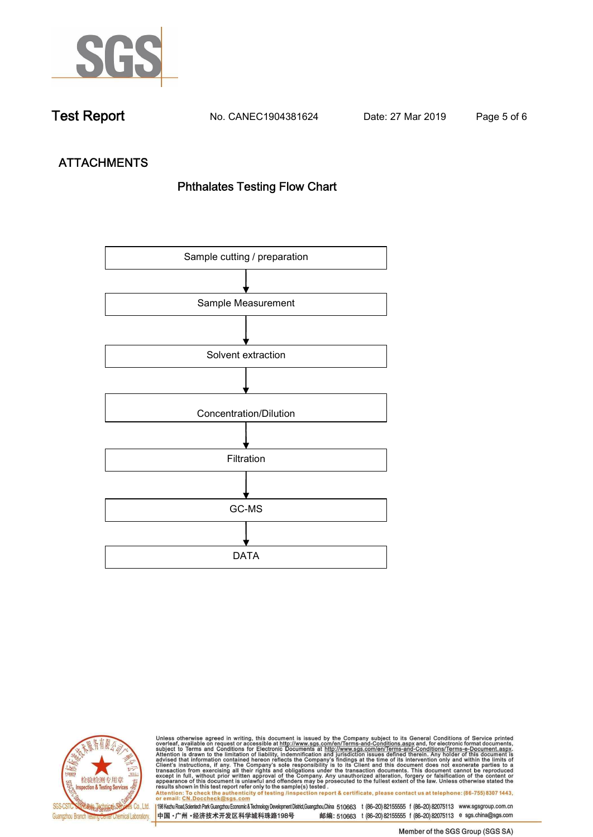

**Test Report. No. CANEC1904381624 Date: 27 Mar 2019. Page 5 of 6.**

# **ATTACHMENTS Phthalates Testing Flow Chart**





Unless otherwise agreed in writing, this document is issued by the Company subject to its General Conditions of Service printed<br>overleaf, available on request or accessible at http://www.sgs.com/en/Terms-and-Conditions.asp results shown in this test report refer only to the sample(s) tested .<br>Attention: To check the authenticity of testing /inspection report & certificate, please contact us at telephone: (86-755) 8307 1443,<br>or email: <u>CN.Doc</u>

198 Kezhu Road,Scientech Park Guangzhou Economic & Technology Development District,Guangzhou,China 510663 t (86-20) 82155555 f (86-20) 82075113 www.sgsgroup.com.cn 中国·广州·经济技术开发区科学城科珠路198号 邮编: 510663 t (86-20) 82155555 f (86-20) 82075113 e sgs.china@sgs.com